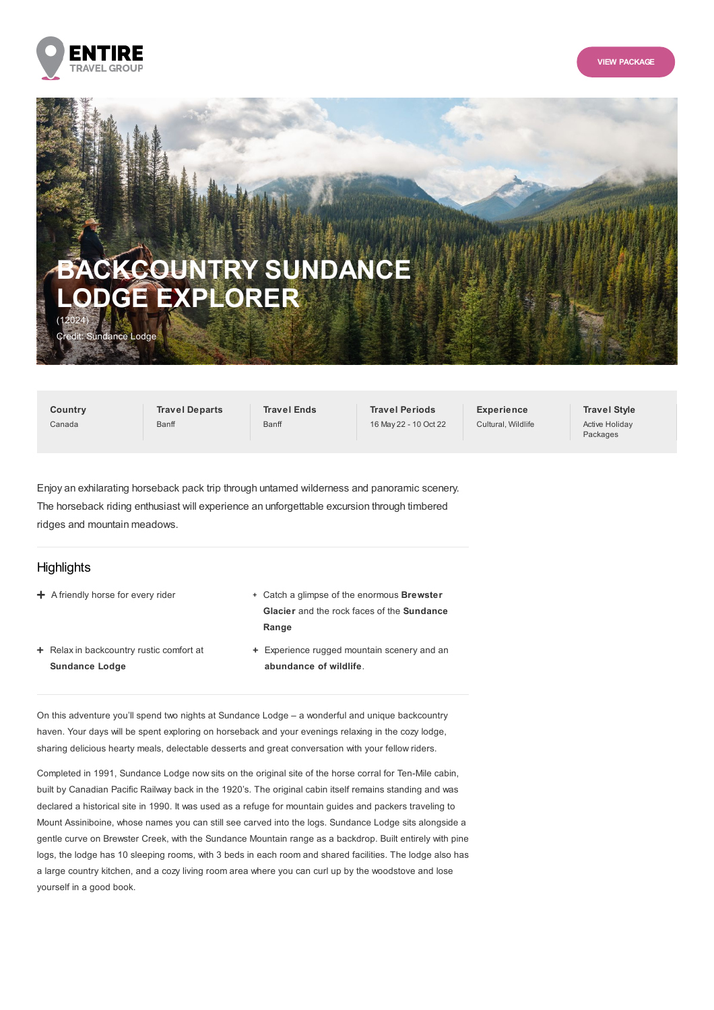



# **BACKCOUNTRY SUNDANCE LODGE EXPLORER** (12024) dit: Sundance Lodge

**Country** Canada

**Travel Departs** Banff

**Travel Ends** Banff

**Travel Periods** 16 May 22 - 10 Oct 22 **Experience** Cultural, Wildlife **Travel Style** Active Holiday Packages

Enjoy an exhilarating horseback pack trip through untamed wilderness and panoramic scenery. The horseback riding enthusiast will experience an unforgettable excursion through timbered ridges and mountain meadows.

# **Highlights**

- 
- + Relax in backcountry rustic comfort at **Sundance Lodge**
- + A friendly horse for every rider **Catch a glimpse of the enormous Brewster** + Catch a glimpse of the enormous **Brewster Glacier** and the rock faces of the **Sundance Range**
	- Experience rugged mountain scenery and an **abundance of wildlife**.

On this adventure you'll spend two nights at Sundance Lodge – a wonderful and unique backcountry haven. Your days will be spent exploring on horseback and your evenings relaxing in the cozy lodge, sharing delicious hearty meals, delectable desserts and great conversation with your fellow riders.

Completed in 1991, Sundance Lodge now sits on the original site of the horse corral for Ten-Mile cabin, built by Canadian Pacific Railway back in the 1920's. The original cabin itself remains standing and was declared a historical site in 1990. It was used as a refuge for mountain guides and packers traveling to Mount Assiniboine, whose names you can still see carved into the logs. Sundance Lodge sits alongside a gentle curve on Brewster Creek, with the Sundance Mountain range as a backdrop. Built entirely with pine logs, the lodge has 10 sleeping rooms, with 3 beds in each room and shared facilities. The lodge also has a large country kitchen, and a cozy living room area where you can curl up by the woodstove and lose yourself in a good book.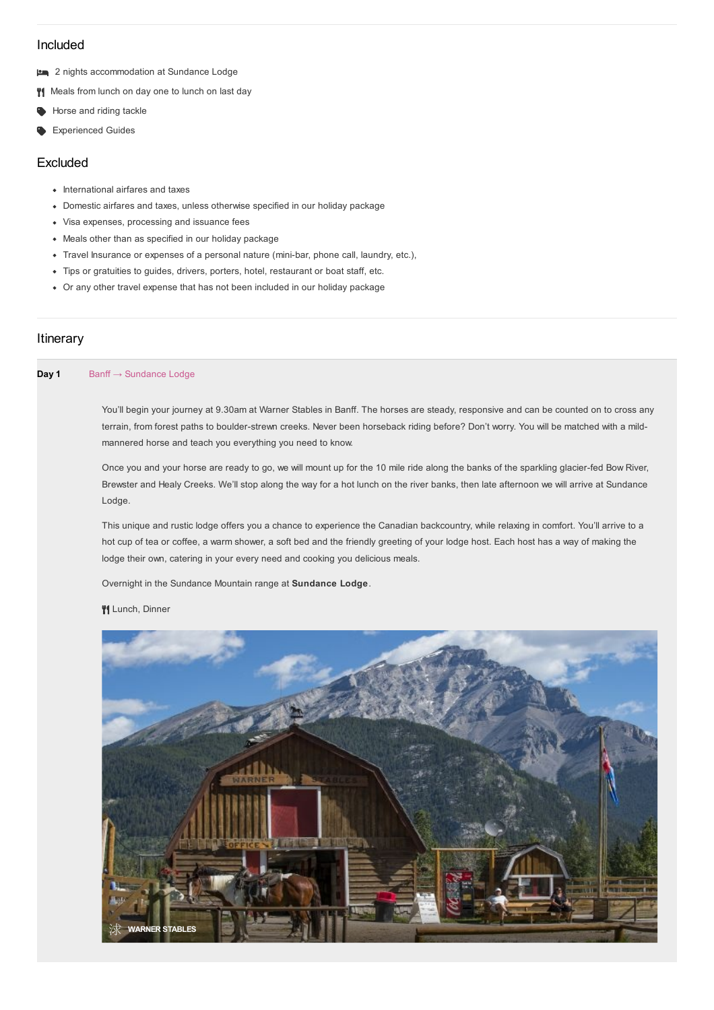# Included

- 2 nights accommodation at Sundance Lodge
- **Weals from lunch on day one to lunch on last day**
- Horse and riding tackle
- **Experienced Guides**

## Excluded

- International airfares and taxes
- Domestic airfares and taxes, unless otherwise specified in our holiday package
- Visa expenses, processing and issuance fees
- Meals other than as specified in our holiday package
- Travel Insurance or expenses of a personal nature (mini-bar, phone call, laundry, etc.),
- Tips or gratuities to guides, drivers, porters, hotel, restaurant or boat staff, etc.
- Or any other travel expense that has not been included in our holiday package

# **Itinerary**

## **Day 1** Banff → Sundance Lodge

You'll begin your journey at 9.30am at Warner Stables in Banff. The horses are steady, responsive and can be counted on to cross any terrain, from forest paths to boulder-strewn creeks. Never been horseback riding before? Don't worry. You will be matched with a mildmannered horse and teach you everything you need to know.

Once you and your horse are ready to go, we will mount up for the 10 mile ride along the banks of the sparkling glacier-fed Bow River, Brewster and Healy Creeks. We'll stop along the way for a hot lunch on the river banks, then late afternoon we will arrive at Sundance Lodge.

This unique and rustic lodge offers you a chance to experience the Canadian backcountry, while relaxing in comfort. You'll arrive to a hot cup of tea or coffee, a warm shower, a soft bed and the friendly greeting of your lodge host. Each host has a way of making the lodge their own, catering in your every need and cooking you delicious meals.

Overnight in the Sundance Mountain range at **Sundance Lodge**.

#### **V**I Lunch, Dinner

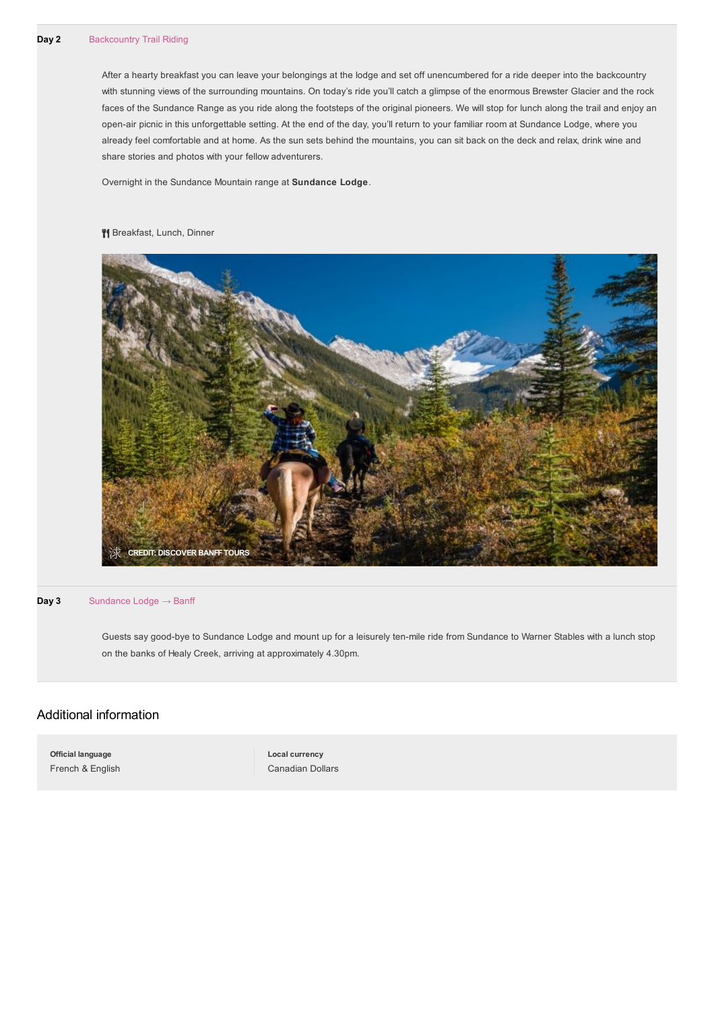After a hearty breakfast you can leave your belongings at the lodge and set off unencumbered for a ride deeper into the backcountry with stunning views of the surrounding mountains. On today's ride you'll catch a glimpse of the enormous Brewster Glacier and the rock faces of the Sundance Range as you ride along the footsteps of the original pioneers. We will stop for lunch along the trail and enjoy an open-air picnic in this unforgettable setting. At the end of the day, you'll return to your familiar room at Sundance Lodge, where you already feel comfortable and at home. As the sun sets behind the mountains, you can sit back on the deck and relax, drink wine and share stories and photos with your fellow adventurers.

Overnight in the Sundance Mountain range at **Sundance Lodge**.

#### <sup>4</sup> Breakfast, Lunch, Dinner



#### **Day 3** Sundance Lodge → Banff

Guests say good-bye to Sundance Lodge and mount up for a leisurely ten-mile ride from Sundance to Warner Stables with a lunch stop on the banks of Healy Creek, arriving at approximately 4.30pm.

## Additional information

**Official language** French & English **Local currency** Canadian Dollars